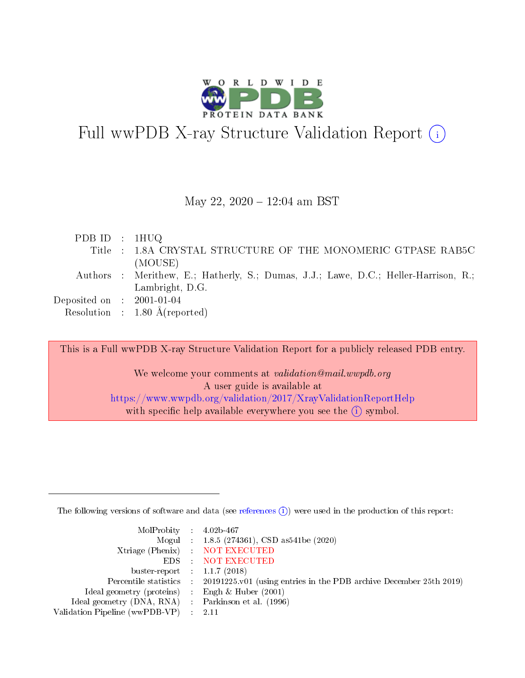

# Full wwPDB X-ray Structure Validation Report  $(i)$

#### May 22, 2020 - 12:04 am BST

| PDB ID : $1HUQ$             |                                                                                     |
|-----------------------------|-------------------------------------------------------------------------------------|
|                             | Title : 1.8A CRYSTAL STRUCTURE OF THE MONOMERIC GTPASE RAB5C                        |
|                             | (MOUSE)                                                                             |
|                             | Authors : Merithew, E.; Hatherly, S.; Dumas, J.J.; Lawe, D.C.; Heller-Harrison, R.; |
|                             | Lambright, D.G.                                                                     |
| Deposited on : $2001-01-04$ |                                                                                     |
|                             | Resolution : $1.80 \text{ Å}$ (reported)                                            |

This is a Full wwPDB X-ray Structure Validation Report for a publicly released PDB entry.

We welcome your comments at validation@mail.wwpdb.org A user guide is available at <https://www.wwpdb.org/validation/2017/XrayValidationReportHelp> with specific help available everywhere you see the  $(i)$  symbol.

The following versions of software and data (see [references](https://www.wwpdb.org/validation/2017/XrayValidationReportHelp#references)  $(i)$ ) were used in the production of this report:

| MolProbity : $4.02b-467$                            |                                                                                            |
|-----------------------------------------------------|--------------------------------------------------------------------------------------------|
|                                                     | Mogul : 1.8.5 (274361), CSD as541be (2020)                                                 |
|                                                     | Xtriage (Phenix) NOT EXECUTED                                                              |
|                                                     | EDS : NOT EXECUTED                                                                         |
| buster-report : $1.1.7$ (2018)                      |                                                                                            |
|                                                     | Percentile statistics : 20191225.v01 (using entries in the PDB archive December 25th 2019) |
| Ideal geometry (proteins) :                         | Engh & Huber $(2001)$                                                                      |
| Ideal geometry (DNA, RNA) : Parkinson et al. (1996) |                                                                                            |
| Validation Pipeline (wwPDB-VP)                      | -2.11                                                                                      |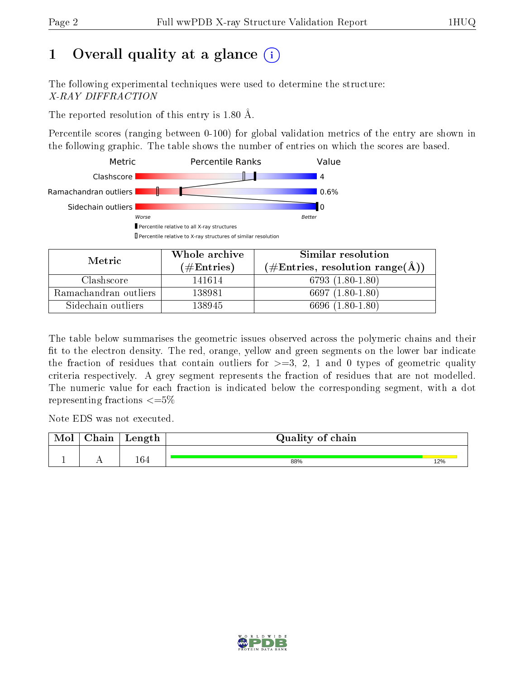# 1 [O](https://www.wwpdb.org/validation/2017/XrayValidationReportHelp#overall_quality)verall quality at a glance  $(i)$

The following experimental techniques were used to determine the structure: X-RAY DIFFRACTION

The reported resolution of this entry is 1.80 Å.

Percentile scores (ranging between 0-100) for global validation metrics of the entry are shown in the following graphic. The table shows the number of entries on which the scores are based.



| Metric                | Whole archive       | Similar resolution                                        |
|-----------------------|---------------------|-----------------------------------------------------------|
|                       | (# $\rm{Entries}$ ) | $(\#\text{Entries}, \text{resolution range}(\text{\AA}))$ |
| Clashscore            | 141614              | 6793 (1.80-1.80)                                          |
| Ramachandran outliers | 138981              | 6697 (1.80-1.80)                                          |
| Sidechain outliers    | 138945              | 6696 (1.80-1.80)                                          |

The table below summarises the geometric issues observed across the polymeric chains and their fit to the electron density. The red, orange, yellow and green segments on the lower bar indicate the fraction of residues that contain outliers for  $\geq=3$ , 2, 1 and 0 types of geometric quality criteria respectively. A grey segment represents the fraction of residues that are not modelled. The numeric value for each fraction is indicated below the corresponding segment, with a dot representing fractions  $\leq=5\%$ 

Note EDS was not executed.

| Mol | $\cap$ hain | Length | Quality of chain |     |  |  |  |  |
|-----|-------------|--------|------------------|-----|--|--|--|--|
|     |             |        |                  |     |  |  |  |  |
|     |             | 164    | 88%              | 12% |  |  |  |  |

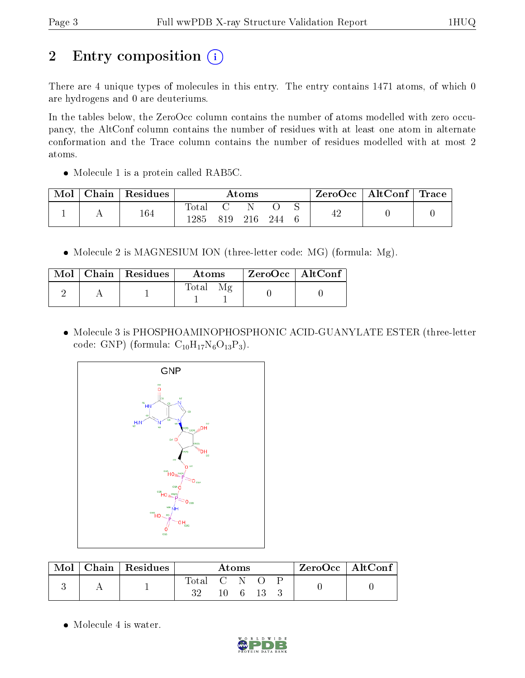# 2 Entry composition (i)

There are 4 unique types of molecules in this entry. The entry contains 1471 atoms, of which 0 are hydrogens and 0 are deuteriums.

In the tables below, the ZeroOcc column contains the number of atoms modelled with zero occupancy, the AltConf column contains the number of residues with at least one atom in alternate conformation and the Trace column contains the number of residues modelled with at most 2 atoms.

• Molecule 1 is a protein called RAB5C.

| Mol | ${\rm Chain}$ | Residues | $\rm{Atoms}$         |     |     |     |  | ZeroOcc   AltConf   Trace |  |  |
|-----|---------------|----------|----------------------|-----|-----|-----|--|---------------------------|--|--|
|     |               | 164      | <b>Total</b><br>1285 | 819 | 216 | 244 |  | 42                        |  |  |

• Molecule 2 is MAGNESIUM ION (three-letter code: MG) (formula: Mg).

|  | $\text{Mol}$   Chain   Residues | <b>Atoms</b> | ZeroOcc   AltConf |
|--|---------------------------------|--------------|-------------------|
|  |                                 | $\rm Total$  |                   |

 Molecule 3 is PHOSPHOAMINOPHOSPHONIC ACID-GUANYLATE ESTER (three-letter code: GNP) (formula:  $C_{10}H_{17}N_6O_{13}P_3$ ).



|  | Chain   Residues | Atoms        |     |  |  | $ZeroOcc$   AltConf |  |
|--|------------------|--------------|-----|--|--|---------------------|--|
|  |                  | l'otal<br>າາ | CN. |  |  |                     |  |
|  |                  |              |     |  |  |                     |  |

• Molecule 4 is water.

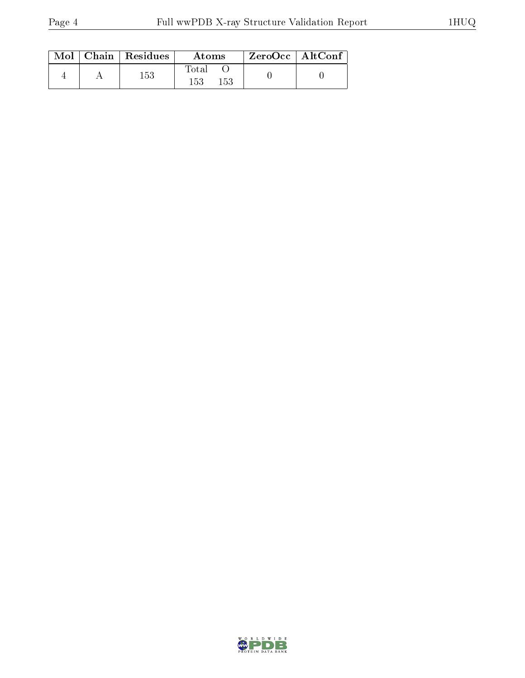|  | $\text{Mol}$   Chain   Residues | Atoms                   | ZeroOcc   AltConf |  |
|--|---------------------------------|-------------------------|-------------------|--|
|  | 153                             | Total<br>$153\,$<br>153 |                   |  |

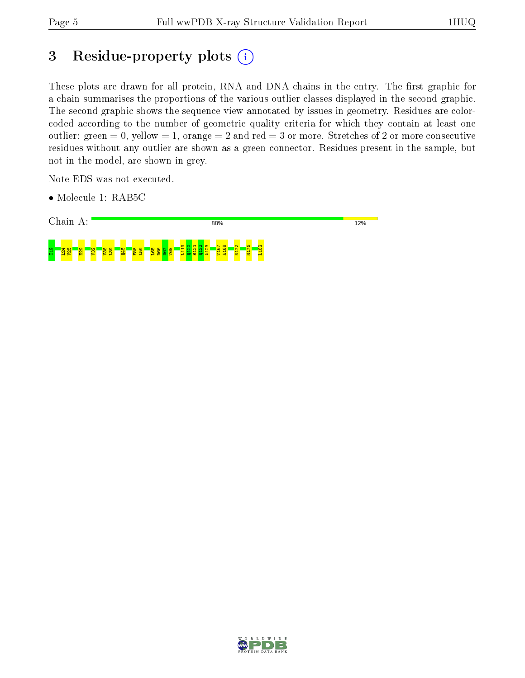# 3 Residue-property plots (i)

These plots are drawn for all protein, RNA and DNA chains in the entry. The first graphic for a chain summarises the proportions of the various outlier classes displayed in the second graphic. The second graphic shows the sequence view annotated by issues in geometry. Residues are colorcoded according to the number of geometric quality criteria for which they contain at least one outlier: green  $= 0$ , yellow  $= 1$ , orange  $= 2$  and red  $= 3$  or more. Stretches of 2 or more consecutive residues without any outlier are shown as a green connector. Residues present in the sample, but not in the model, are shown in grey.

Note EDS was not executed.

• Molecule 1: RAB5C



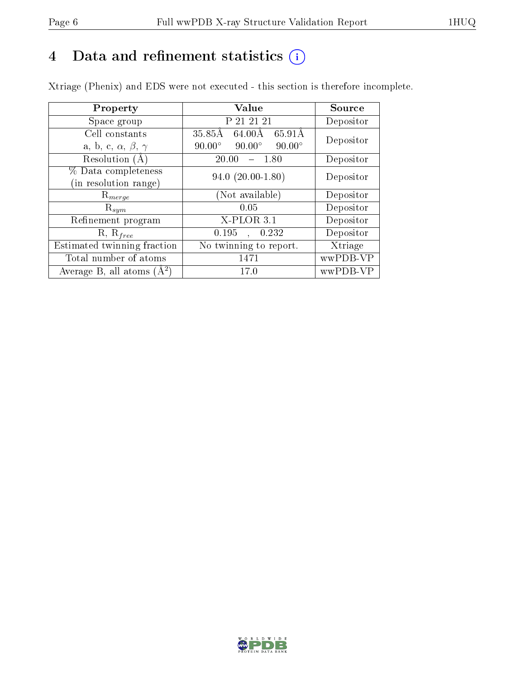## 4 Data and refinement statistics  $(i)$

Xtriage (Phenix) and EDS were not executed - this section is therefore incomplete.

| Property                               | Value                                           | Source    |  |
|----------------------------------------|-------------------------------------------------|-----------|--|
| Space group                            | P 21 21 21                                      | Depositor |  |
| Cell constants                         | 35.85Å 64.00Å 65.91Å                            | Depositor |  |
| a, b, c, $\alpha$ , $\beta$ , $\gamma$ | $90.00^\circ$<br>$90.00^\circ$<br>$90.00^\circ$ |           |  |
| Resolution $(A)$                       | 20.00<br>- 1.80                                 | Depositor |  |
| % Data completeness                    | $94.0 (20.00 - 1.80)$                           | Depositor |  |
| (in resolution range)                  |                                                 |           |  |
| $R_{merge}$                            | (Not available)                                 | Depositor |  |
| $\mathrm{R}_{sym}$                     | 0.05                                            | Depositor |  |
| Refinement program                     | $X-PLOR3.1$                                     | Depositor |  |
| $R, R_{free}$                          | 0.195<br>0.232                                  | Depositor |  |
| Estimated twinning fraction            | No twinning to report.                          | Xtriage   |  |
| Total number of atoms                  | 1471                                            | wwPDB-VP  |  |
| Average B, all atoms $(A^2)$           | 17.0                                            | wwPDB-VP  |  |

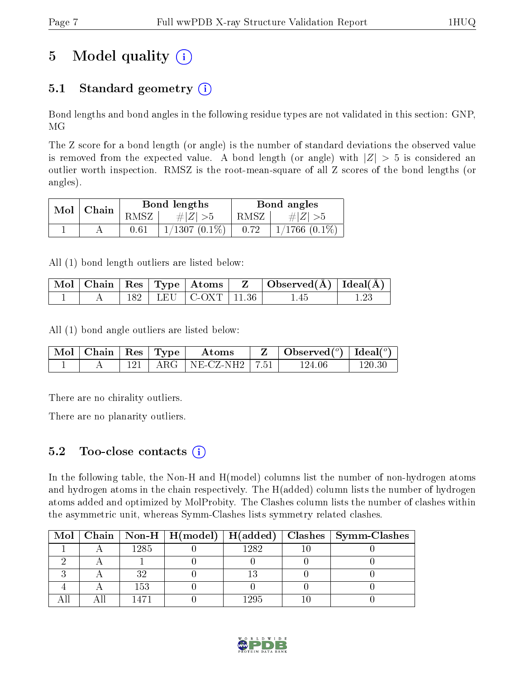# 5 Model quality  $(i)$

### 5.1 Standard geometry  $(i)$

Bond lengths and bond angles in the following residue types are not validated in this section: GNP, MG

The Z score for a bond length (or angle) is the number of standard deviations the observed value is removed from the expected value. A bond length (or angle) with  $|Z| > 5$  is considered an outlier worth inspection. RMSZ is the root-mean-square of all Z scores of the bond lengths (or angles).

| Mol | ' Chain |          | Bond lengths    | Bond angles |                    |  |
|-----|---------|----------|-----------------|-------------|--------------------|--|
|     |         | RMSZ     | # $ Z  > 5$     | RMSZ        | $\# Z  > 5$        |  |
|     |         | $0.61\,$ | $1/1307(0.1\%)$ | 0.72        | $1/1766$ $(0.1\%)$ |  |

All (1) bond length outliers are listed below:

|  |  |                           | $\mid$ Mol $\mid$ Chain $\mid$ Res $\mid$ Type $\mid$ Atoms $\mid$ $\mid$ Z $\mid$ Observed(Å) $\mid$ Ideal(Å) $\mid$ |  |
|--|--|---------------------------|-----------------------------------------------------------------------------------------------------------------------|--|
|  |  | 182   LEU   C-OXT   11.36 | 1.45                                                                                                                  |  |

All (1) bond angle outliers are listed below:

|  |  | $\parallel$ Mol $\parallel$ Chain $\parallel$ Res $\parallel$ Type $\parallel$ – Atoms – | $\mathbf{Z}$   Observed( $^o$ )   Ideal( $^o$ ) |        |
|--|--|------------------------------------------------------------------------------------------|-------------------------------------------------|--------|
|  |  | ARG   NE-CZ-NH2   7.51                                                                   | 124.06                                          | 120 30 |

There are no chirality outliers.

There are no planarity outliers.

#### $5.2$  Too-close contacts  $(i)$

In the following table, the Non-H and H(model) columns list the number of non-hydrogen atoms and hydrogen atoms in the chain respectively. The H(added) column lists the number of hydrogen atoms added and optimized by MolProbity. The Clashes column lists the number of clashes within the asymmetric unit, whereas Symm-Clashes lists symmetry related clashes.

|  |      |      | Mol   Chain   Non-H   H(model)   H(added)   Clashes   Symm-Clashes |
|--|------|------|--------------------------------------------------------------------|
|  | 1285 | 1282 |                                                                    |
|  |      |      |                                                                    |
|  |      |      |                                                                    |
|  | 153  |      |                                                                    |
|  |      | 129h |                                                                    |

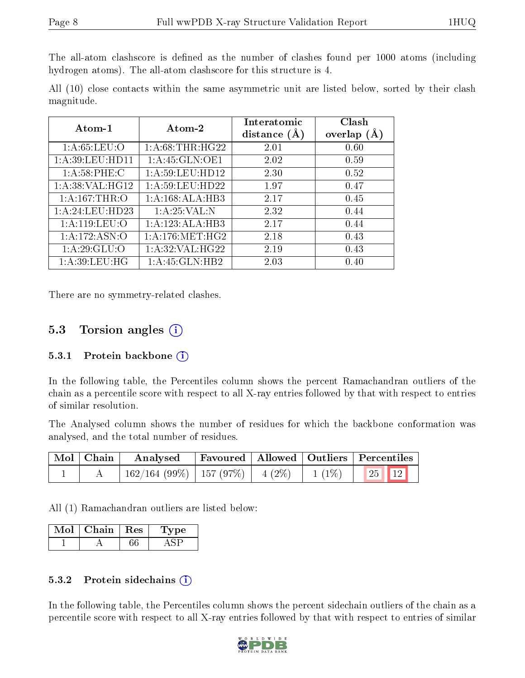The all-atom clashscore is defined as the number of clashes found per 1000 atoms (including hydrogen atoms). The all-atom clashscore for this structure is 4.

All (10) close contacts within the same asymmetric unit are listed below, sorted by their clash magnitude.

| $Atom-1$           | $\boldsymbol{\mathrm{Atom}\text{-}2}$ | Interatomic<br>distance $(A)$ | Clash<br>overlap<br>(A) |
|--------------------|---------------------------------------|-------------------------------|-------------------------|
| 1: A:65:LEU:O      | 1: A:68:THR:HG22                      | 2.01                          | 0.60                    |
| 1: A:39: LEU: HD11 | 1:A:45:GLN:OE1                        | 2.02                          | 0.59                    |
| 1: A:58:PHE: C     | 1: A:59: LEU: HD12                    | 2.30                          | 0.52                    |
| 1: A:38: VAL:HG12  | 1: A:59: LEU: HD22                    | 1.97                          | 0.47                    |
| 1: A:167:THR:O     | 1: A:168:ALA:HB3                      | 2.17                          | 0.45                    |
| 1:A:24:LEU:HD23    | 1: A:25:VAL: N                        | 2.32                          | 0.44                    |
| 1: A:119: LEU:O    | 1:A:123:ALA:HB3                       | 2.17                          | 0.44                    |
| 1: A: 172: ASN: O  | 1: A:176:MET:HG2                      | 2.18                          | 0.43                    |
| 1: A:29: GLU:O     | 1: A:32: VAL:HG22                     | 2.19                          | 0.43                    |
| 1: A:39: LEU: HG   | 1: A:45: GLN:HB2                      | 2.03                          | 0.40                    |

There are no symmetry-related clashes.

#### 5.3 Torsion angles (i)

#### 5.3.1 Protein backbone  $(i)$

In the following table, the Percentiles column shows the percent Ramachandran outliers of the chain as a percentile score with respect to all X-ray entries followed by that with respect to entries of similar resolution.

The Analysed column shows the number of residues for which the backbone conformation was analysed, and the total number of residues.

| Mol   Chain | Analysed   Favoured   Allowed   Outliers   Percentiles       |  |  |  |
|-------------|--------------------------------------------------------------|--|--|--|
|             | $\mid$ 162/164 (99%)   157 (97%)   4 (2%)   1 (1%)   25   12 |  |  |  |

All (1) Ramachandran outliers are listed below:

| Mol | Chain   Res | 'Type |  |
|-----|-------------|-------|--|
|     |             |       |  |

#### 5.3.2 Protein sidechains  $(i)$

In the following table, the Percentiles column shows the percent sidechain outliers of the chain as a percentile score with respect to all X-ray entries followed by that with respect to entries of similar

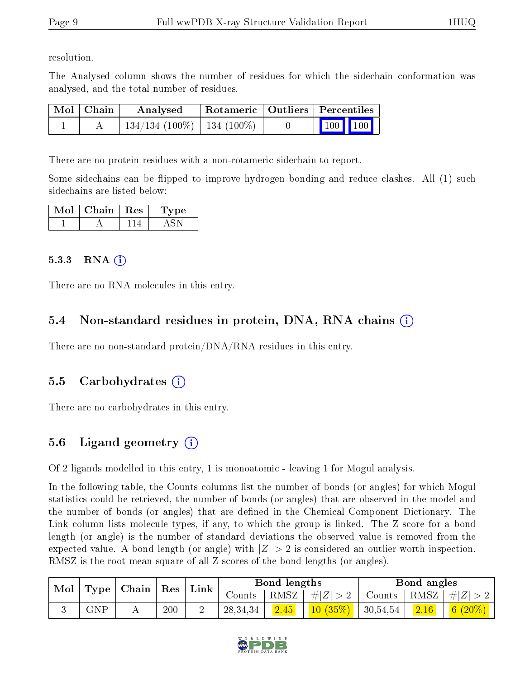resolution.

The Analysed column shows the number of residues for which the sidechain conformation was analysed, and the total number of residues.

| $\mid$ Mol $\mid$ Chain | Analysed                        |  | Rotameric   Outliers   Percentiles |  |
|-------------------------|---------------------------------|--|------------------------------------|--|
|                         | $134/134$ (100\%)   134 (100\%) |  | 100 100                            |  |

There are no protein residues with a non-rotameric sidechain to report.

Some sidechains can be flipped to improve hydrogen bonding and reduce clashes. All (1) such sidechains are listed below:

| Mol | Chain | Res | рe |
|-----|-------|-----|----|
|     |       |     |    |

#### 5.3.3 RNA  $(i)$

There are no RNA molecules in this entry.

### 5.4 Non-standard residues in protein, DNA, RNA chains  $(i)$

There are no non-standard protein/DNA/RNA residues in this entry.

### 5.5 Carbohydrates  $\widehat{a}$

There are no carbohydrates in this entry.

### 5.6 Ligand geometry  $(i)$

Of 2 ligands modelled in this entry, 1 is monoatomic - leaving 1 for Mogul analysis.

In the following table, the Counts columns list the number of bonds (or angles) for which Mogul statistics could be retrieved, the number of bonds (or angles) that are observed in the model and the number of bonds (or angles) that are defined in the Chemical Component Dictionary. The Link column lists molecule types, if any, to which the group is linked. The Z score for a bond length (or angle) is the number of standard deviations the observed value is removed from the expected value. A bond length (or angle) with  $|Z| > 2$  is considered an outlier worth inspection. RMSZ is the root-mean-square of all Z scores of the bond lengths (or angles).

| Mol | Type        | Chain | Res | Link |            | Bond lengths |         |          | Bond angles |                             |
|-----|-------------|-------|-----|------|------------|--------------|---------|----------|-------------|-----------------------------|
|     |             |       |     |      | Counts     | RMSZ         | $\# Z $ | Counts   | RMSZ        | $\# Z $                     |
| ◡   | ${\rm GNP}$ | 4 L   | 200 |      | 28, 34, 34 | 2.45         | 10(35%) | 30,54,54 | 2.16        | $\vert 6 \vert$<br>$(20\%)$ |

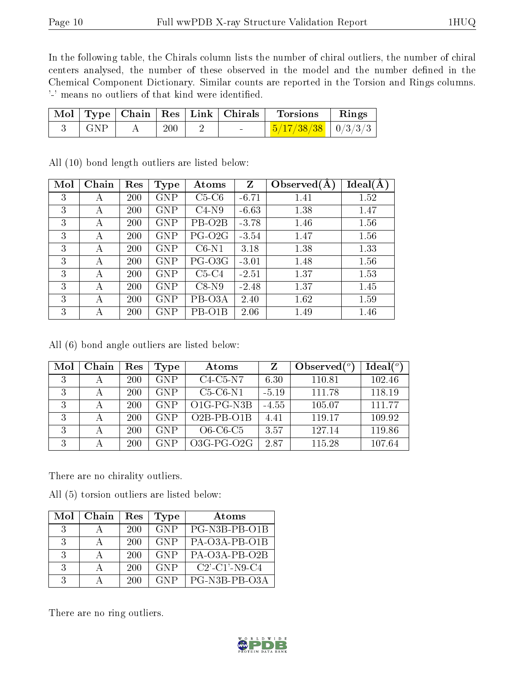In the following table, the Chirals column lists the number of chiral outliers, the number of chiral centers analysed, the number of these observed in the model and the number defined in the Chemical Component Dictionary. Similar counts are reported in the Torsion and Rings columns. '-' means no outliers of that kind were identified.

|            |     | Mol   Type   Chain   Res   Link   Chirals | Torsions                       | $\mathbf{Rings}$ |
|------------|-----|-------------------------------------------|--------------------------------|------------------|
| $\mid$ GNP | 200 |                                           | $\frac{5}{17/38/38}$   0/3/3/3 |                  |

| Mol | Chain | Res | <b>Type</b> | Atoms               | Z       | Observed $(A)$ | Ideal(A) |
|-----|-------|-----|-------------|---------------------|---------|----------------|----------|
| 3   | А     | 200 | <b>GNP</b>  | $C5-C6$             | $-6.71$ | 1.41           | 1.52     |
| 3   | А     | 200 | <b>GNP</b>  | $C4-N9$             | $-6.63$ | 1.38           | 1.47     |
| 3   | А     | 200 | <b>GNP</b>  | PB-O <sub>2</sub> B | $-3.78$ | 1.46           | 1.56     |
| 3   | А     | 200 | <b>GNP</b>  | $PG-O2G$            | $-3.54$ | 1.47           | 1.56     |
| 3   | А     | 200 | <b>GNP</b>  | $C6-N1$             | 3.18    | 1.38           | 1.33     |
| 3   | А     | 200 | <b>GNP</b>  | PG-O3G              | $-3.01$ | 1.48           | 1.56     |
| 3   | А     | 200 | <b>GNP</b>  | $C5-C4$             | $-2.51$ | 1.37           | 1.53     |
| 3   | А     | 200 | <b>GNP</b>  | $C8-N9$             | $-2.48$ | 1.37           | 1.45     |
| 3   | А     | 200 | <b>GNP</b>  | PB-O3A              | 2.40    | 1.62           | 1.59     |
| 3   | А     | 200 | <b>GNP</b>  | PB-O1B              | 2.06    | 1.49           | 1.46     |

All (10) bond length outliers are listed below:

All (6) bond angle outliers are listed below:

| Mol | Chain | $\operatorname{Res}% \left( \mathcal{N}\right) \equiv\operatorname{Res}(\mathcal{N}_{0})\cap\mathcal{N}_{1}$ | Type       | Atoms                                          |         | Observed $\binom{o}{c}$ | Ideal(°) |
|-----|-------|--------------------------------------------------------------------------------------------------------------|------------|------------------------------------------------|---------|-------------------------|----------|
| 3   | А     | <b>200</b>                                                                                                   | <b>GNP</b> | $C4-C5-N7$                                     | 6.30    | 110.81                  | 102.46   |
| 3   |       | <b>200</b>                                                                                                   | <b>GNP</b> | $C5-C6-N1$                                     | $-5.19$ | 111.78                  | 118.19   |
| 3   | А     | 200                                                                                                          | <b>GNP</b> | O <sub>1</sub> G-P <sub>G-N<sub>3</sub>B</sub> | $-4.55$ | 105.07                  | 111.77   |
| 3   | А     | <b>200</b>                                                                                                   | <b>GNP</b> | $O2B-PB-O1B$                                   | 4.41    | 119.17                  | 109.92   |
| 3   | А     | 200                                                                                                          | <b>GNP</b> | $O6-C6-C5$                                     | 3.57    | 127.14                  | 119.86   |
| 3   |       | <b>200</b>                                                                                                   | <b>GNP</b> | $O3G-PG-O2G$                                   | 287     | 115.28                  | 107.64   |

There are no chirality outliers.

All (5) torsion outliers are listed below:

| Mol           | Chain | Res | <b>Type</b> | Atoms            |
|---------------|-------|-----|-------------|------------------|
| $\mathcal{R}$ |       | 200 | GNP         | PG-N3B-PB-O1B    |
| -3-           |       | 200 | <b>GNP</b>  | PA-O3A-PB-O1B    |
| $\mathcal{R}$ |       | 200 | <b>GNP</b>  | PA-O3A-PB-O2B    |
| $\mathcal{S}$ |       | 200 | <b>GNP</b>  | $C2'$ -C1'-N9-C4 |
| $\mathcal{R}$ |       | 200 | <b>GNP</b>  | PG-N3B-PB-O3A    |

There are no ring outliers.

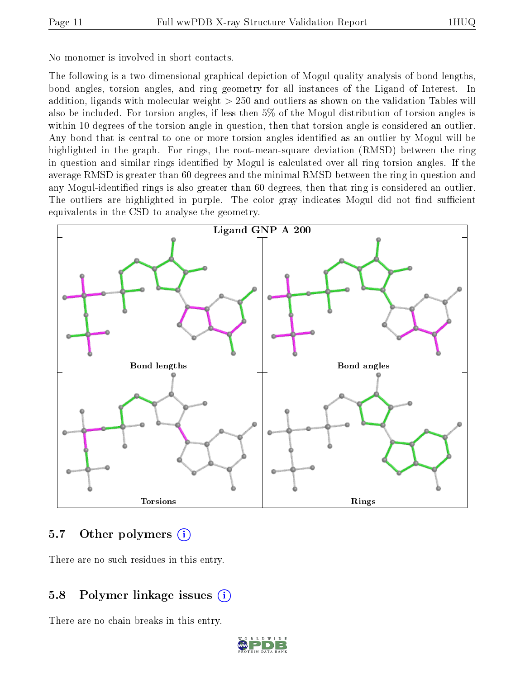No monomer is involved in short contacts.

The following is a two-dimensional graphical depiction of Mogul quality analysis of bond lengths, bond angles, torsion angles, and ring geometry for all instances of the Ligand of Interest. In addition, ligands with molecular weight > 250 and outliers as shown on the validation Tables will also be included. For torsion angles, if less then 5% of the Mogul distribution of torsion angles is within 10 degrees of the torsion angle in question, then that torsion angle is considered an outlier. Any bond that is central to one or more torsion angles identified as an outlier by Mogul will be highlighted in the graph. For rings, the root-mean-square deviation (RMSD) between the ring in question and similar rings identified by Mogul is calculated over all ring torsion angles. If the average RMSD is greater than 60 degrees and the minimal RMSD between the ring in question and any Mogul-identified rings is also greater than 60 degrees, then that ring is considered an outlier. The outliers are highlighted in purple. The color gray indicates Mogul did not find sufficient equivalents in the CSD to analyse the geometry.



### 5.7 [O](https://www.wwpdb.org/validation/2017/XrayValidationReportHelp#nonstandard_residues_and_ligands)ther polymers (i)

There are no such residues in this entry.

### 5.8 Polymer linkage issues (i)

There are no chain breaks in this entry.